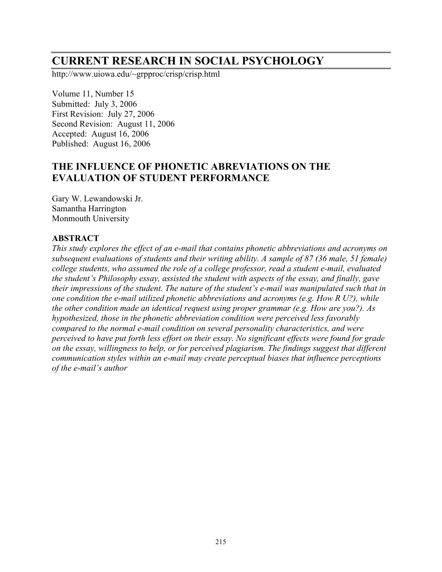# **CURRENT RESEARCH IN SOCIAL PSYCHOLOGY**

http://www.uiowa.edu/~grpproc/crisp/crisp.html

Volume 11, Number 15 Submitted: July 3, 2006 First Revision: July 27, 2006 Second Revision: August 11, 2006 Accepted: August 16, 2006 Published: August 16, 2006

# **THE INFLUENCE OF PHONETIC ABREVIATIONS ON THE EVALUATION OF STUDENT PERFORMANCE**

Gary W. Lewandowski Jr. Samantha Harrington Monmouth University

#### **ABSTRACT**

*This study explores the effect of an e-mail that contains phonetic abbreviations and acronyms on subsequent evaluations of students and their writing ability. A sample of 87 (36 male, 51 female) college students, who assumed the role of a college professor, read a student e-mail, evaluated the student's Philosophy essay, assisted the student with aspects of the essay, and finally, gave their impressions of the student. The nature of the student's e-mail was manipulated such that in one condition the e-mail utilized phonetic abbreviations and acronyms (e.g. How R U?), while the other condition made an identical request using proper grammar (e.g. How are you?). As hypothesized, those in the phonetic abbreviation condition were perceived less favorably compared to the normal e-mail condition on several personality characteristics, and were perceived to have put forth less effort on their essay. No significant effects were found for grade on the essay, willingness to help, or for perceived plagiarism. The findings suggest that different communication styles within an e-mail may create perceptual biases that influence perceptions of the e-mail's author*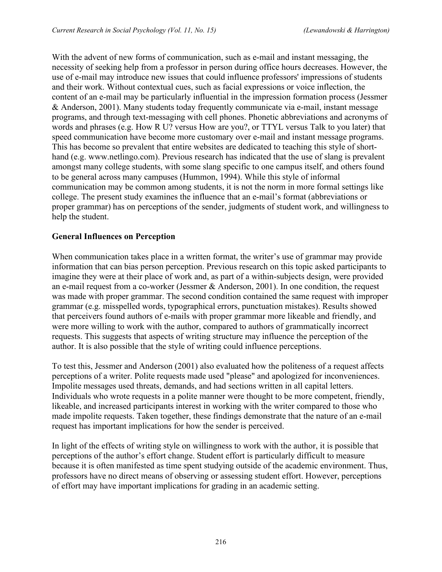With the advent of new forms of communication, such as e-mail and instant messaging, the necessity of seeking help from a professor in person during office hours decreases. However, the use of e-mail may introduce new issues that could influence professors' impressions of students and their work. Without contextual cues, such as facial expressions or voice inflection, the content of an e-mail may be particularly influential in the impression formation process (Jessmer & Anderson, 2001). Many students today frequently communicate via e-mail, instant message programs, and through text-messaging with cell phones. Phonetic abbreviations and acronyms of words and phrases (e.g. How R U? versus How are you?, or TTYL versus Talk to you later) that speed communication have become more customary over e-mail and instant message programs. This has become so prevalent that entire websites are dedicated to teaching this style of shorthand (e.g. www.netlingo.com). Previous research has indicated that the use of slang is prevalent amongst many college students, with some slang specific to one campus itself, and others found to be general across many campuses (Hummon, 1994). While this style of informal communication may be common among students, it is not the norm in more formal settings like college. The present study examines the influence that an e-mail's format (abbreviations or proper grammar) has on perceptions of the sender, judgments of student work, and willingness to help the student.

### **General Influences on Perception**

When communication takes place in a written format, the writer's use of grammar may provide information that can bias person perception. Previous research on this topic asked participants to imagine they were at their place of work and, as part of a within-subjects design, were provided an e-mail request from a co-worker (Jessmer & Anderson, 2001). In one condition, the request was made with proper grammar. The second condition contained the same request with improper grammar (e.g. misspelled words, typographical errors, punctuation mistakes). Results showed that perceivers found authors of e-mails with proper grammar more likeable and friendly, and were more willing to work with the author, compared to authors of grammatically incorrect requests. This suggests that aspects of writing structure may influence the perception of the author. It is also possible that the style of writing could influence perceptions.

To test this, Jessmer and Anderson (2001) also evaluated how the politeness of a request affects perceptions of a writer. Polite requests made used "please" and apologized for inconveniences. Impolite messages used threats, demands, and had sections written in all capital letters. Individuals who wrote requests in a polite manner were thought to be more competent, friendly, likeable, and increased participants interest in working with the writer compared to those who made impolite requests. Taken together, these findings demonstrate that the nature of an e-mail request has important implications for how the sender is perceived.

In light of the effects of writing style on willingness to work with the author, it is possible that perceptions of the author's effort change. Student effort is particularly difficult to measure because it is often manifested as time spent studying outside of the academic environment. Thus, professors have no direct means of observing or assessing student effort. However, perceptions of effort may have important implications for grading in an academic setting.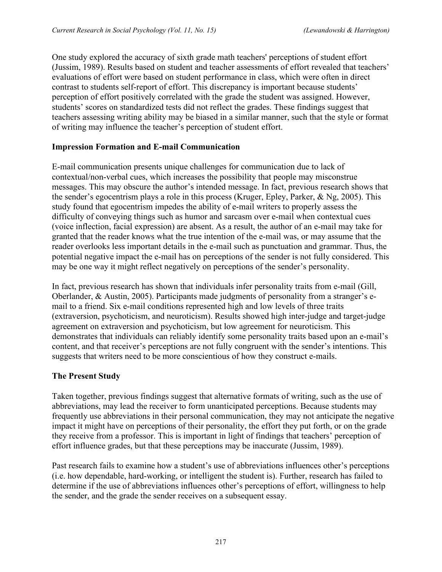One study explored the accuracy of sixth grade math teachers' perceptions of student effort (Jussim, 1989). Results based on student and teacher assessments of effort revealed that teachers' evaluations of effort were based on student performance in class, which were often in direct contrast to students self-report of effort. This discrepancy is important because students' perception of effort positively correlated with the grade the student was assigned. However, students' scores on standardized tests did not reflect the grades. These findings suggest that teachers assessing writing ability may be biased in a similar manner, such that the style or format of writing may influence the teacher's perception of student effort.

### **Impression Formation and E-mail Communication**

E-mail communication presents unique challenges for communication due to lack of contextual/non-verbal cues, which increases the possibility that people may misconstrue messages. This may obscure the author's intended message. In fact, previous research shows that the sender's egocentrism plays a role in this process (Kruger, Epley, Parker, & Ng, 2005). This study found that egocentrism impedes the ability of e-mail writers to properly assess the difficulty of conveying things such as humor and sarcasm over e-mail when contextual cues (voice inflection, facial expression) are absent. As a result, the author of an e-mail may take for granted that the reader knows what the true intention of the e-mail was, or may assume that the reader overlooks less important details in the e-mail such as punctuation and grammar. Thus, the potential negative impact the e-mail has on perceptions of the sender is not fully considered. This may be one way it might reflect negatively on perceptions of the sender's personality.

In fact, previous research has shown that individuals infer personality traits from e-mail (Gill, Oberlander, & Austin, 2005). Participants made judgments of personality from a stranger's email to a friend. Six e-mail conditions represented high and low levels of three traits (extraversion, psychoticism, and neuroticism). Results showed high inter-judge and target-judge agreement on extraversion and psychoticism, but low agreement for neuroticism. This demonstrates that individuals can reliably identify some personality traits based upon an e-mail's content, and that receiver's perceptions are not fully congruent with the sender's intentions. This suggests that writers need to be more conscientious of how they construct e-mails.

### **The Present Study**

Taken together, previous findings suggest that alternative formats of writing, such as the use of abbreviations, may lead the receiver to form unanticipated perceptions. Because students may frequently use abbreviations in their personal communication, they may not anticipate the negative impact it might have on perceptions of their personality, the effort they put forth, or on the grade they receive from a professor. This is important in light of findings that teachers' perception of effort influence grades, but that these perceptions may be inaccurate (Jussim, 1989).

Past research fails to examine how a student's use of abbreviations influences other's perceptions (i.e. how dependable, hard-working, or intelligent the student is). Further, research has failed to determine if the use of abbreviations influences other's perceptions of effort, willingness to help the sender, and the grade the sender receives on a subsequent essay.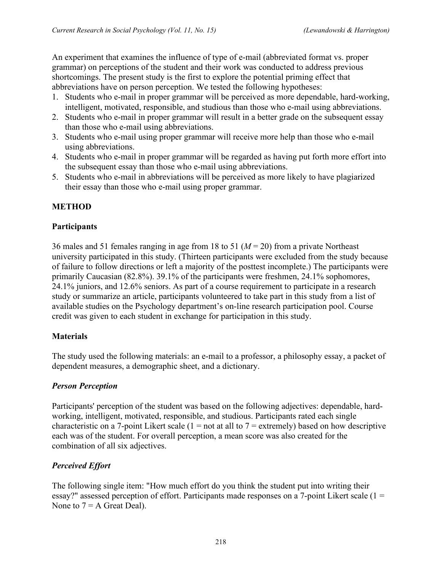An experiment that examines the influence of type of e-mail (abbreviated format vs. proper grammar) on perceptions of the student and their work was conducted to address previous shortcomings. The present study is the first to explore the potential priming effect that abbreviations have on person perception. We tested the following hypotheses:

- 1. Students who e-mail in proper grammar will be perceived as more dependable, hard-working, intelligent, motivated, responsible, and studious than those who e-mail using abbreviations.
- 2. Students who e-mail in proper grammar will result in a better grade on the subsequent essay than those who e-mail using abbreviations.
- 3. Students who e-mail using proper grammar will receive more help than those who e-mail using abbreviations.
- 4. Students who e-mail in proper grammar will be regarded as having put forth more effort into the subsequent essay than those who e-mail using abbreviations.
- 5. Students who e-mail in abbreviations will be perceived as more likely to have plagiarized their essay than those who e-mail using proper grammar.

# **METHOD**

### **Participants**

36 males and 51 females ranging in age from 18 to 51 (*M* = 20) from a private Northeast university participated in this study. (Thirteen participants were excluded from the study because of failure to follow directions or left a majority of the posttest incomplete.) The participants were primarily Caucasian (82.8%). 39.1% of the participants were freshmen, 24.1% sophomores, 24.1% juniors, and 12.6% seniors. As part of a course requirement to participate in a research study or summarize an article, participants volunteered to take part in this study from a list of available studies on the Psychology department's on-line research participation pool. Course credit was given to each student in exchange for participation in this study.

### **Materials**

The study used the following materials: an e-mail to a professor, a philosophy essay, a packet of dependent measures, a demographic sheet, and a dictionary.

### *Person Perception*

Participants' perception of the student was based on the following adjectives: dependable, hardworking, intelligent, motivated, responsible, and studious. Participants rated each single characteristic on a 7-point Likert scale  $(1 = not at all to 7 = extremely)$  based on how descriptive each was of the student. For overall perception, a mean score was also created for the combination of all six adjectives.

# *Perceived Effort*

The following single item: "How much effort do you think the student put into writing their essay?" assessed perception of effort. Participants made responses on a 7-point Likert scale (1 = None to  $7 = A$  Great Deal).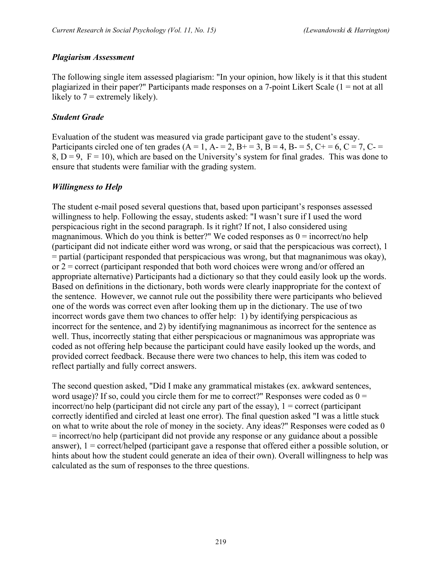### *Plagiarism Assessment*

The following single item assessed plagiarism: "In your opinion, how likely is it that this student plagiarized in their paper?" Participants made responses on a 7-point Likert Scale (1 = not at all likely to  $7 =$  extremely likely).

### *Student Grade*

Evaluation of the student was measured via grade participant gave to the student's essay. Participants circled one of ten grades (A = 1, A - = 2, B + = 3, B = 4, B - = 5, C + = 6, C = 7, C - =  $8, D = 9, F = 10$ , which are based on the University's system for final grades. This was done to ensure that students were familiar with the grading system.

### *Willingness to Help*

The student e-mail posed several questions that, based upon participant's responses assessed willingness to help. Following the essay, students asked: "I wasn't sure if I used the word perspicacious right in the second paragraph. Is it right? If not, I also considered using magnanimous. Which do you think is better?" We coded responses as  $0 =$  incorrect/no help (participant did not indicate either word was wrong, or said that the perspicacious was correct), 1 = partial (participant responded that perspicacious was wrong, but that magnanimous was okay), or  $2 =$  correct (participant responded that both word choices were wrong and/or offered an appropriate alternative) Participants had a dictionary so that they could easily look up the words. Based on definitions in the dictionary, both words were clearly inappropriate for the context of the sentence. However, we cannot rule out the possibility there were participants who believed one of the words was correct even after looking them up in the dictionary. The use of two incorrect words gave them two chances to offer help: 1) by identifying perspicacious as incorrect for the sentence, and 2) by identifying magnanimous as incorrect for the sentence as well. Thus, incorrectly stating that either perspicacious or magnanimous was appropriate was coded as not offering help because the participant could have easily looked up the words, and provided correct feedback. Because there were two chances to help, this item was coded to reflect partially and fully correct answers.

The second question asked, "Did I make any grammatical mistakes (ex. awkward sentences, word usage)? If so, could you circle them for me to correct?" Responses were coded as  $0 =$ incorrect/no help (participant did not circle any part of the essay),  $1 =$  correct (participant correctly identified and circled at least one error). The final question asked "I was a little stuck on what to write about the role of money in the society. Any ideas?" Responses were coded as 0 = incorrect/no help (participant did not provide any response or any guidance about a possible answer), 1 = correct/helped (participant gave a response that offered either a possible solution, or hints about how the student could generate an idea of their own). Overall willingness to help was calculated as the sum of responses to the three questions.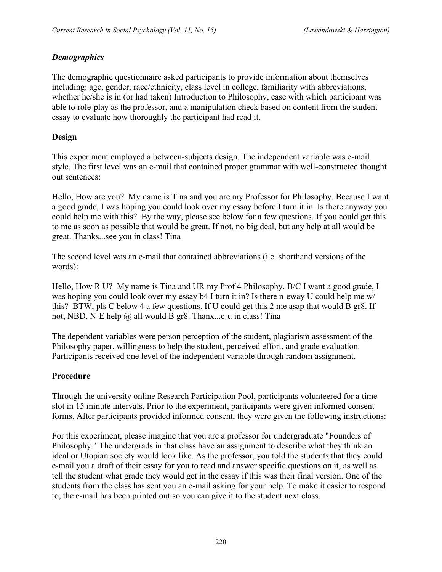### *Demographics*

The demographic questionnaire asked participants to provide information about themselves including: age, gender, race/ethnicity, class level in college, familiarity with abbreviations, whether he/she is in (or had taken) Introduction to Philosophy, ease with which participant was able to role-play as the professor, and a manipulation check based on content from the student essay to evaluate how thoroughly the participant had read it.

### **Design**

This experiment employed a between-subjects design. The independent variable was e-mail style. The first level was an e-mail that contained proper grammar with well-constructed thought out sentences:

Hello, How are you? My name is Tina and you are my Professor for Philosophy. Because I want a good grade, I was hoping you could look over my essay before I turn it in. Is there anyway you could help me with this? By the way, please see below for a few questions. If you could get this to me as soon as possible that would be great. If not, no big deal, but any help at all would be great. Thanks...see you in class! Tina

The second level was an e-mail that contained abbreviations (i.e. shorthand versions of the words):

Hello, How R U? My name is Tina and UR my Prof 4 Philosophy. B/C I want a good grade, I was hoping you could look over my essay b4 I turn it in? Is there n-eway U could help me w/ this? BTW, pls C below 4 a few questions. If U could get this 2 me asap that would B gr8. If not, NBD, N-E help @ all would B gr8. Thanx...c-u in class! Tina

The dependent variables were person perception of the student, plagiarism assessment of the Philosophy paper, willingness to help the student, perceived effort, and grade evaluation. Participants received one level of the independent variable through random assignment.

# **Procedure**

Through the university online Research Participation Pool, participants volunteered for a time slot in 15 minute intervals. Prior to the experiment, participants were given informed consent forms. After participants provided informed consent, they were given the following instructions:

For this experiment, please imagine that you are a professor for undergraduate "Founders of Philosophy." The undergrads in that class have an assignment to describe what they think an ideal or Utopian society would look like. As the professor, you told the students that they could e-mail you a draft of their essay for you to read and answer specific questions on it, as well as tell the student what grade they would get in the essay if this was their final version. One of the students from the class has sent you an e-mail asking for your help. To make it easier to respond to, the e-mail has been printed out so you can give it to the student next class.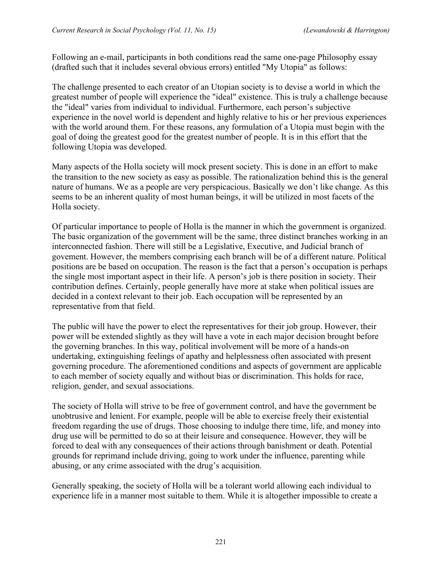Following an e-mail, participants in both conditions read the same one-page Philosophy essay (drafted such that it includes several obvious errors) entitled "My Utopia" as follows:

The challenge presented to each creator of an Utopian society is to devise a world in which the greatest number of people will experience the "ideal" existence. This is truly a challenge because the "ideal" varies from individual to individual. Furthermore, each person's subjective experience in the novel world is dependent and highly relative to his or her previous experiences with the world around them. For these reasons, any formulation of a Utopia must begin with the goal of doing the greatest good for the greatest number of people. It is in this effort that the following Utopia was developed.

Many aspects of the Holla society will mock present society. This is done in an effort to make the transition to the new society as easy as possible. The rationalization behind this is the general nature of humans. We as a people are very perspicacious. Basically we don't like change. As this seems to be an inherent quality of most human beings, it will be utilized in most facets of the Holla society.

Of particular importance to people of Holla is the manner in which the government is organized. The basic organization of the government will be the same, three distinct branches working in an interconnected fashion. There will still be a Legislative, Executive, and Judicial branch of govement. However, the members comprising each branch will be of a different nature. Political positions are be based on occupation. The reason is the fact that a person's occupation is perhaps the single most important aspect in their life. A person's job is there position in society. Their contribution defines. Certainly, people generally have more at stake when political issues are decided in a context relevant to their job. Each occupation will be represented by an representative from that field.

The public will have the power to elect the representatives for their job group. However, their power will be extended slightly as they will have a vote in each major decision brought before the governing branches. In this way, political involvement will be more of a hands-on undertaking, extinguishing feelings of apathy and helplessness often associated with present governing procedure. The aforementioned conditions and aspects of government are applicable to each member of society equally and without bias or discrimination. This holds for race, religion, gender, and sexual associations.

The society of Holla will strive to be free of government control, and have the government be unobtrusive and lenient. For example, people will be able to exercise freely their existential freedom regarding the use of drugs. Those choosing to indulge there time, life, and money into drug use will be permitted to do so at their leisure and consequence. However, they will be forced to deal with any consequences of their actions through banishment or death. Potential grounds for reprimand include driving, going to work under the influence, parenting while abusing, or any crime associated with the drug's acquisition.

Generally speaking, the society of Holla will be a tolerant world allowing each individual to experience life in a manner most suitable to them. While it is altogether impossible to create a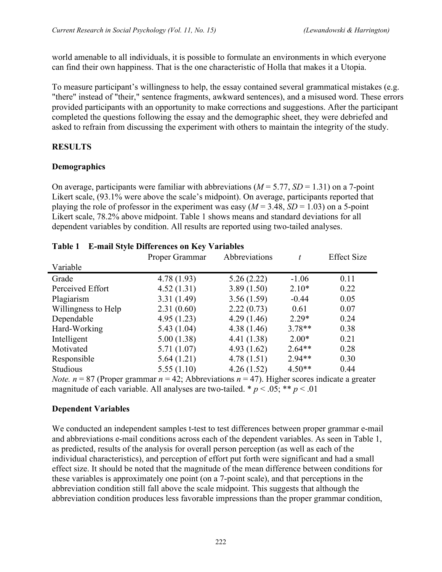world amenable to all individuals, it is possible to formulate an environments in which everyone can find their own happiness. That is the one characteristic of Holla that makes it a Utopia.

To measure participant's willingness to help, the essay contained several grammatical mistakes (e.g. "there" instead of "their," sentence fragments, awkward sentences), and a misused word. These errors provided participants with an opportunity to make corrections and suggestions. After the participant completed the questions following the essay and the demographic sheet, they were debriefed and asked to refrain from discussing the experiment with others to maintain the integrity of the study.

# **RESULTS**

### **Demographics**

On average, participants were familiar with abbreviations  $(M = 5.77, SD = 1.31)$  on a 7-point Likert scale, (93.1% were above the scale's midpoint). On average, participants reported that playing the role of professor in the experiment was easy  $(M = 3.48, SD = 1.03)$  on a 5-point Likert scale, 78.2% above midpoint. Table 1 shows means and standard deviations for all dependent variables by condition. All results are reported using two-tailed analyses.

|                     | Proper Grammar | Abbreviations | t        | <b>Effect Size</b> |
|---------------------|----------------|---------------|----------|--------------------|
| Variable            |                |               |          |                    |
| Grade               | 4.78(1.93)     | 5.26(2.22)    | $-1.06$  | 0.11               |
| Perceived Effort    | 4.52(1.31)     | 3.89(1.50)    | $2.10*$  | 0.22               |
| Plagiarism          | 3.31(1.49)     | 3.56(1.59)    | $-0.44$  | 0.05               |
| Willingness to Help | 2.31(0.60)     | 2.22(0.73)    | 0.61     | 0.07               |
| Dependable          | 4.95(1.23)     | 4.29(1.46)    | $2.29*$  | 0.24               |
| Hard-Working        | 5.43(1.04)     | 4.38(1.46)    | $3.78**$ | 0.38               |
| Intelligent         | 5.00(1.38)     | 4.41 (1.38)   | $2.00*$  | 0.21               |
| Motivated           | 5.71(1.07)     | 4.93(1.62)    | $2.64**$ | 0.28               |
| Responsible         | 5.64(1.21)     | 4.78(1.51)    | $2.94**$ | 0.30               |
| <b>Studious</b>     | 5.55(1.10)     | 4.26(1.52)    | $4.50**$ | 0.44               |

### **Table 1 E-mail Style Differences on Key Variables**

*Note. n* = 87 (Proper grammar  $n = 42$ ; Abbreviations  $n = 47$ ). Higher scores indicate a greater magnitude of each variable. All analyses are two-tailed. \*  $p < .05$ ; \*\*  $p < .01$ 

### **Dependent Variables**

We conducted an independent samples t-test to test differences between proper grammar e-mail and abbreviations e-mail conditions across each of the dependent variables. As seen in Table 1, as predicted, results of the analysis for overall person perception (as well as each of the individual characteristics), and perception of effort put forth were significant and had a small effect size. It should be noted that the magnitude of the mean difference between conditions for these variables is approximately one point (on a 7-point scale), and that perceptions in the abbreviation condition still fall above the scale midpoint. This suggests that although the abbreviation condition produces less favorable impressions than the proper grammar condition,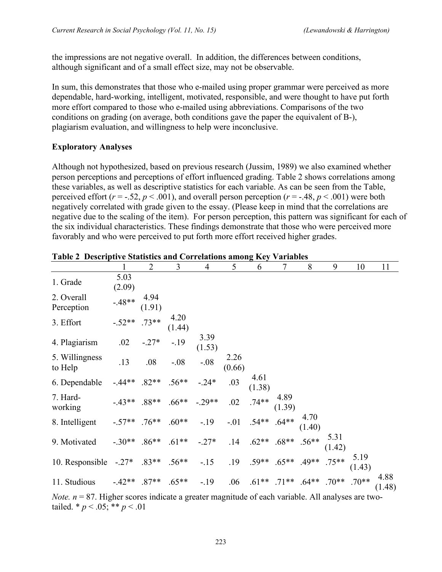the impressions are not negative overall. In addition, the differences between conditions, although significant and of a small effect size, may not be observable.

In sum, this demonstrates that those who e-mailed using proper grammar were perceived as more dependable, hard-working, intelligent, motivated, responsible, and were thought to have put forth more effort compared to those who e-mailed using abbreviations. Comparisons of the two conditions on grading (on average, both conditions gave the paper the equivalent of B-), plagiarism evaluation, and willingness to help were inconclusive.

#### **Exploratory Analyses**

Although not hypothesized, based on previous research (Jussim, 1989) we also examined whether person perceptions and perceptions of effort influenced grading. Table 2 shows correlations among these variables, as well as descriptive statistics for each variable. As can be seen from the Table, perceived effort ( $r = -0.52$ ,  $p < 0.001$ ), and overall person perception ( $r = -0.48$ ,  $p < 0.001$ ) were both negatively correlated with grade given to the essay. (Please keep in mind that the correlations are negative due to the scaling of the item). For person perception, this pattern was significant for each of the six individual characteristics. These findings demonstrate that those who were perceived more favorably and who were perceived to put forth more effort received higher grades.

|                           | $\mathbf{1}$    | $\overline{2}$ | 3                                          | $\overline{4}$ | 5              | 6                                        | 7              | 8 | 9                                   | 10             | 11             |
|---------------------------|-----------------|----------------|--------------------------------------------|----------------|----------------|------------------------------------------|----------------|---|-------------------------------------|----------------|----------------|
| 1. Grade                  | 5.03<br>(2.09)  |                |                                            |                |                |                                          |                |   |                                     |                |                |
| 2. Overall<br>Perception  | $-48**$         | 4.94<br>(1.91) |                                            |                |                |                                          |                |   |                                     |                |                |
| 3. Effort                 | $-0.52**$ .73** |                | 4.20<br>(1.44)                             |                |                |                                          |                |   |                                     |                |                |
| 4. Plagiarism             | .02             | $-.27*$        | $-19$                                      | 3.39<br>(1.53) |                |                                          |                |   |                                     |                |                |
| 5. Willingness<br>to Help | .13             | .08            | $-.08$                                     | $-.08$         | 2.26<br>(0.66) |                                          |                |   |                                     |                |                |
| 6. Dependable             | $-44**$         |                | $.82**$ .56**                              | $-.24*$        | .03            | 4.61<br>(1.38)                           |                |   |                                     |                |                |
| 7. Hard-<br>working       |                 |                | $-0.43**$ . $88**$ . $66**$ -. $29**$ . 02 |                |                | $.74**$                                  | 4.89<br>(1.39) |   |                                     |                |                |
| 8. Intelligent            | $-57**$         | $.76***$       | $.60**$                                    | $-.19$         |                | $-.01$ .54** .64** $\frac{4.70}{(1.40)}$ |                |   |                                     |                |                |
| 9. Motivated              | $-.30**$        | $.86**$        | $.61**$                                    | $-.27*$        |                | $.14$ $.62**$ $.68**$ $.56**$            |                |   | 5.31<br>(1.42)                      |                |                |
| 10. Responsible           | $-.27*$         | $.83**$        | $.56**$                                    | $-.15$         |                | $.19$ $.59**$ $.65**$ $.49**$ $.75**$    |                |   |                                     | 5.19<br>(1.43) |                |
| 11. Studious              | $-42**$ .87**   |                | $.65**$                                    | $-.19$         | .06            |                                          |                |   | $.61***$ .71** $.64***$ .70** .70** |                | 4.88<br>(1.48) |

|  | Table 2 Descriptive Statistics and Correlations among Key Variables |  |
|--|---------------------------------------------------------------------|--|
|  |                                                                     |  |

*Note.*  $n = 87$ . Higher scores indicate a greater magnitude of each variable. All analyses are twotailed. \*  $p < .05$ ; \*\*  $p < .01$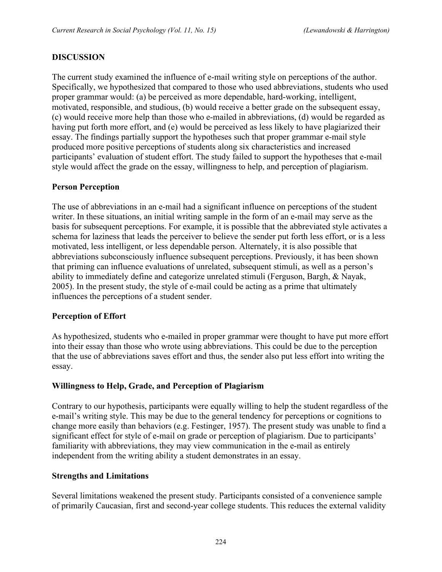### **DISCUSSION**

The current study examined the influence of e-mail writing style on perceptions of the author. Specifically, we hypothesized that compared to those who used abbreviations, students who used proper grammar would: (a) be perceived as more dependable, hard-working, intelligent, motivated, responsible, and studious, (b) would receive a better grade on the subsequent essay, (c) would receive more help than those who e-mailed in abbreviations, (d) would be regarded as having put forth more effort, and (e) would be perceived as less likely to have plagiarized their essay. The findings partially support the hypotheses such that proper grammar e-mail style produced more positive perceptions of students along six characteristics and increased participants' evaluation of student effort. The study failed to support the hypotheses that e-mail style would affect the grade on the essay, willingness to help, and perception of plagiarism.

### **Person Perception**

The use of abbreviations in an e-mail had a significant influence on perceptions of the student writer. In these situations, an initial writing sample in the form of an e-mail may serve as the basis for subsequent perceptions. For example, it is possible that the abbreviated style activates a schema for laziness that leads the perceiver to believe the sender put forth less effort, or is a less motivated, less intelligent, or less dependable person. Alternately, it is also possible that abbreviations subconsciously influence subsequent perceptions. Previously, it has been shown that priming can influence evaluations of unrelated, subsequent stimuli, as well as a person's ability to immediately define and categorize unrelated stimuli (Ferguson, Bargh, & Nayak, 2005). In the present study, the style of e-mail could be acting as a prime that ultimately influences the perceptions of a student sender.

### **Perception of Effort**

As hypothesized, students who e-mailed in proper grammar were thought to have put more effort into their essay than those who wrote using abbreviations. This could be due to the perception that the use of abbreviations saves effort and thus, the sender also put less effort into writing the essay.

### **Willingness to Help, Grade, and Perception of Plagiarism**

Contrary to our hypothesis, participants were equally willing to help the student regardless of the e-mail's writing style. This may be due to the general tendency for perceptions or cognitions to change more easily than behaviors (e.g. Festinger, 1957). The present study was unable to find a significant effect for style of e-mail on grade or perception of plagiarism. Due to participants' familiarity with abbreviations, they may view communication in the e-mail as entirely independent from the writing ability a student demonstrates in an essay.

### **Strengths and Limitations**

Several limitations weakened the present study. Participants consisted of a convenience sample of primarily Caucasian, first and second-year college students. This reduces the external validity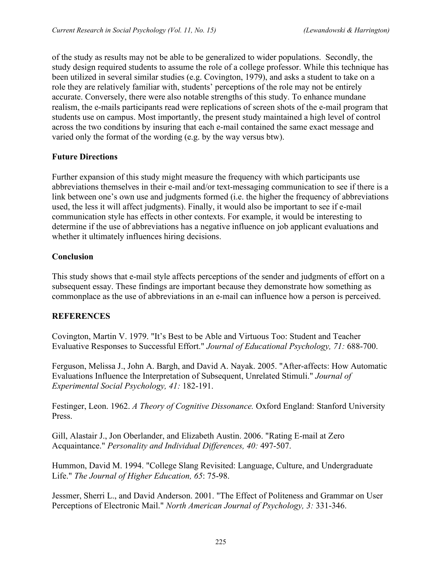of the study as results may not be able to be generalized to wider populations. Secondly, the study design required students to assume the role of a college professor. While this technique has been utilized in several similar studies (e.g. Covington, 1979), and asks a student to take on a role they are relatively familiar with, students' perceptions of the role may not be entirely accurate. Conversely, there were also notable strengths of this study. To enhance mundane realism, the e-mails participants read were replications of screen shots of the e-mail program that students use on campus. Most importantly, the present study maintained a high level of control across the two conditions by insuring that each e-mail contained the same exact message and varied only the format of the wording (e.g. by the way versus btw).

### **Future Directions**

Further expansion of this study might measure the frequency with which participants use abbreviations themselves in their e-mail and/or text-messaging communication to see if there is a link between one's own use and judgments formed (i.e. the higher the frequency of abbreviations used, the less it will affect judgments). Finally, it would also be important to see if e-mail communication style has effects in other contexts. For example, it would be interesting to determine if the use of abbreviations has a negative influence on job applicant evaluations and whether it ultimately influences hiring decisions.

#### **Conclusion**

This study shows that e-mail style affects perceptions of the sender and judgments of effort on a subsequent essay. These findings are important because they demonstrate how something as commonplace as the use of abbreviations in an e-mail can influence how a person is perceived.

### **REFERENCES**

Covington, Martin V. 1979. "It's Best to be Able and Virtuous Too: Student and Teacher Evaluative Responses to Successful Effort." *Journal of Educational Psychology, 71:* 688-700.

Ferguson, Melissa J., John A. Bargh, and David A. Nayak. 2005. "After-affects: How Automatic Evaluations Influence the Interpretation of Subsequent, Unrelated Stimuli." *Journal of Experimental Social Psychology, 41:* 182-191.

Festinger, Leon. 1962. *A Theory of Cognitive Dissonance.* Oxford England: Stanford University Press.

Gill, Alastair J., Jon Oberlander, and Elizabeth Austin. 2006. "Rating E-mail at Zero Acquaintance." *Personality and Individual Differences, 40:* 497-507.

Hummon, David M. 1994. "College Slang Revisited: Language, Culture, and Undergraduate Life." *The Journal of Higher Education, 65*: 75-98.

Jessmer, Sherri L., and David Anderson. 2001. "The Effect of Politeness and Grammar on User Perceptions of Electronic Mail." *North American Journal of Psychology, 3:* 331-346.